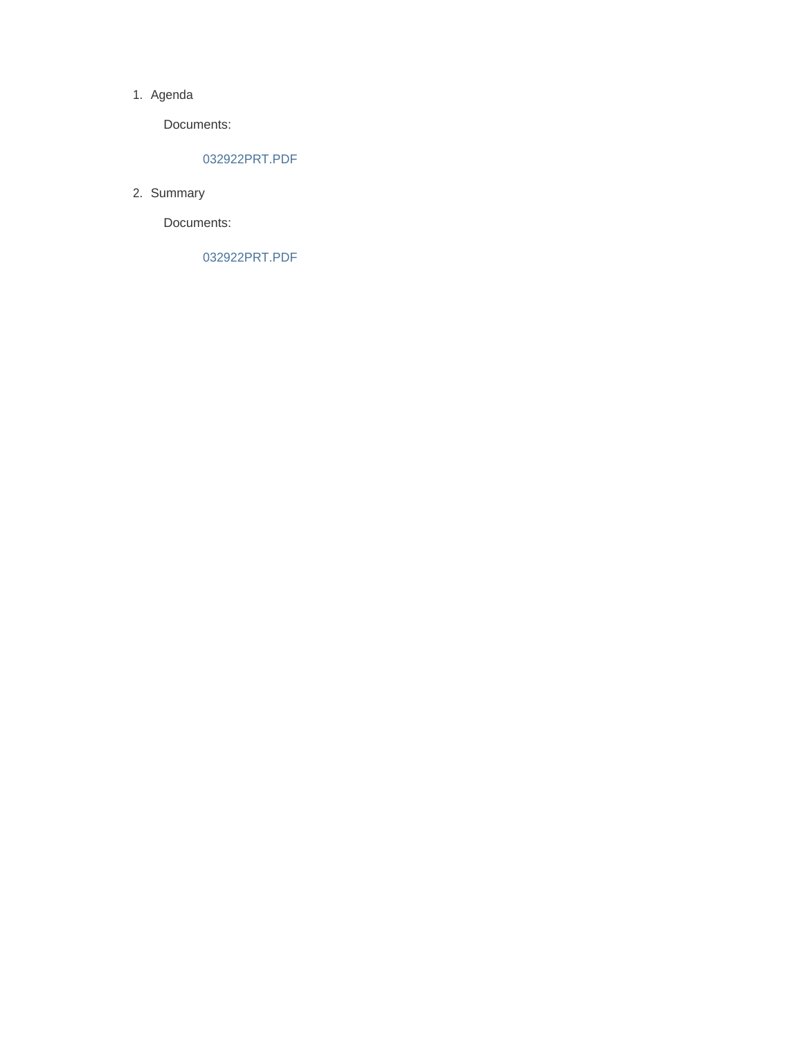#### 1. Agenda

Documents:

#### 032922PRT.PDF

2. Summary

Documents:

032922PRT.PDF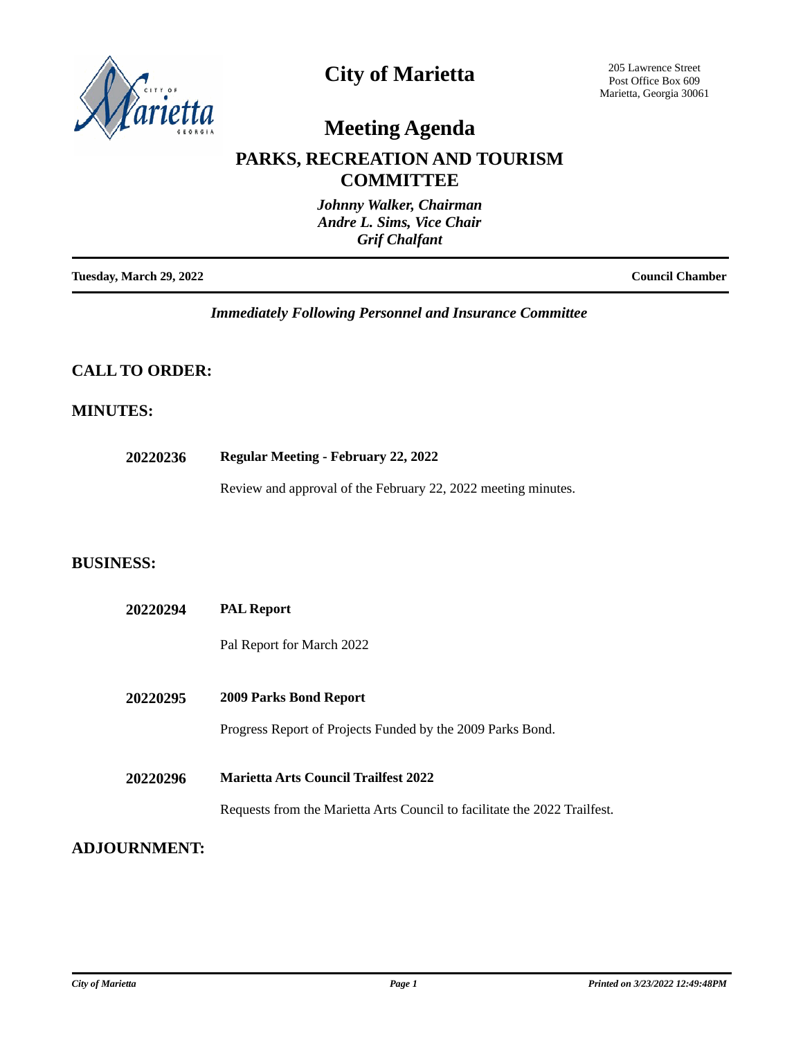

## **City of Marietta**

205 Lawrence Street Post Office Box 609 Marietta, Georgia 30061

# **Meeting Agenda**

### **PARKS, RECREATION AND TOURISM COMMITTEE**

|                         | Johnny Walker, Chairman<br>Andre L. Sims, Vice Chair<br><b>Grif Chalfant</b> |
|-------------------------|------------------------------------------------------------------------------|
| Tuesday, March 29, 2022 | <b>Council Chamber</b>                                                       |

*Immediately Following Personnel and Insurance Committee*

### **CALL TO ORDER:**

#### **MINUTES:**

| 20220236 | <b>Regular Meeting - February 22, 2022</b> |  |  |  |
|----------|--------------------------------------------|--|--|--|
|----------|--------------------------------------------|--|--|--|

Review and approval of the February 22, 2022 meeting minutes.

#### **BUSINESS:**

| 20220294 | <b>PAL Report</b>                                                         |
|----------|---------------------------------------------------------------------------|
|          | Pal Report for March 2022                                                 |
| 20220295 | 2009 Parks Bond Report                                                    |
|          | Progress Report of Projects Funded by the 2009 Parks Bond.                |
| 20220296 | <b>Marietta Arts Council Trailfest 2022</b>                               |
|          | Requests from the Marietta Arts Council to facilitate the 2022 Trailfest. |

#### **ADJOURNMENT:**